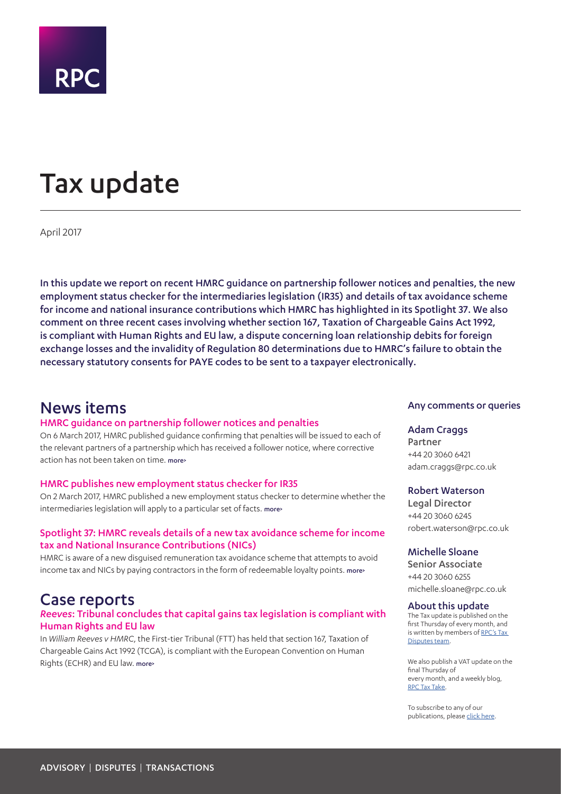

# <span id="page-0-0"></span>Tax update

April 2017

In this update we report on recent HMRC guidance on partnership follower notices and penalties, the new employment status checker for the intermediaries legislation (IR35) and details of tax avoidance scheme for income and national insurance contributions which HMRC has highlighted in its Spotlight 37. We also comment on three recent cases involving whether section 167, Taxation of Chargeable Gains Act 1992, is compliant with Human Rights and EU law, a dispute concerning loan relationship debits for foreign exchange losses and the invalidity of Regulation 80 determinations due to HMRC's failure to obtain the necessary statutory consents for PAYE codes to be sent to a taxpayer electronically.

### News items

#### HMRC guidance on partnership follower notices and penalties

On 6 March 2017, HMRC published guidance confirming that penalties will be issued to each of the relevant partners of a partnership which has received a follower notice, where corrective action has not been taken on time. [more>](#page-2-0)

#### HMRC publishes new employment status checker for IR35

On 2 March 2017, HMRC published a new employment status checker to determine whether the intermediaries legislation will apply to a particular set of facts. [more>](#page-2-1)

#### Spotlight 37: HMRC reveals details of a new tax avoidance scheme for income tax and National Insurance Contributions (NICs)

HMRC is aware of a new disguised remuneration tax avoidance scheme that attempts to avoid income tax and NICs by paying contractors in the form of redeemable loyalty points. [more>](#page-2-2)

### Case reports

#### *Reeves*: Tribunal concludes that capital gains tax legislation is compliant with Human Rights and EU law

In *William Reeves v HMRC*, the First-tier Tribunal (FTT) has held that section 167, Taxation of Chargeable Gains Act 1992 (TCGA), is compliant with the European Convention on Human Rights (ECHR) and EU law. [more>](#page-3-0)

#### Any comments or queries

#### Adam Craggs

Partner +44 20 3060 6421 adam.craggs@rpc.co.uk

#### Robert Waterson

Legal Director +44 20 3060 6245 robert.waterson@rpc.co.uk

#### Michelle Sloane

Senior Associate +44 20 3060 6255 michelle.sloane@rpc.co.uk

#### About this update

The Tax update is published on the first Thursday of every month, and is written by members of RPC's Tax [Disputes team.](https://www.rpc.co.uk/expertise/disputes-litigation-and-investigations/tax-disputes)

We also publish a VAT update on the final Thursday of every month, and a weekly blog, [RPC Tax Take](https://www.rpc.co.uk/perspectives/?topic=tax-take).

To subscribe to any of our publications, please [click here](https://sites-rpc.vuturevx.com/5/8/landing-pages/subscribe-london.asp).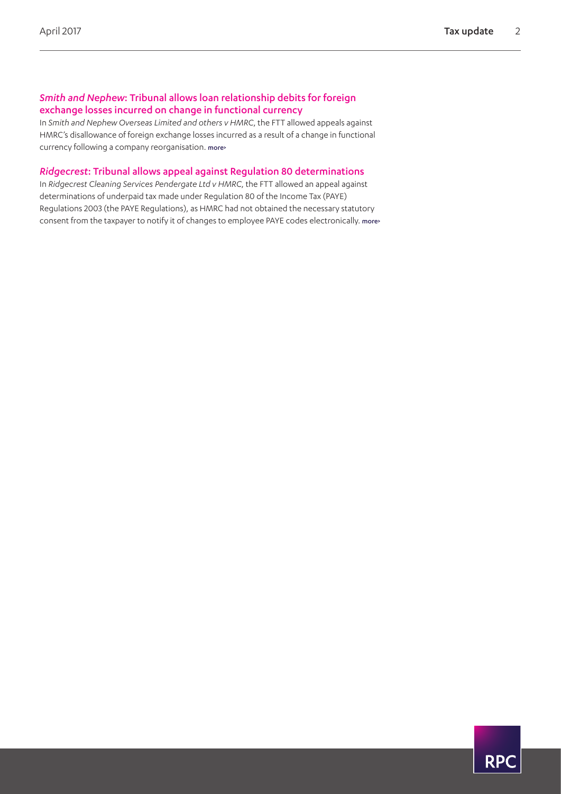### *Smith and Nephew*: Tribunal allows loan relationship debits for foreign exchange losses incurred on change in functional currency

In *Smith and Nephew Overseas Limited and others v HMRC*, the FTT allowed appeals against HMRC's disallowance of foreign exchange losses incurred as a result of a change in functional currency following a company reorganisation. [more>](#page-4-0)

#### *Ridgecrest*: Tribunal allows appeal against Regulation 80 determinations

In *Ridgecrest Cleaning Services Pendergate Ltd v HMRC*, the FTT allowed an appeal against determinations of underpaid tax made under Regulation 80 of the Income Tax (PAYE) Regulations 2003 (the PAYE Regulations), as HMRC had not obtained the necessary statutory consent from the taxpayer to notify it of changes to employee PAYE codes electronically. [more>](#page-6-0)

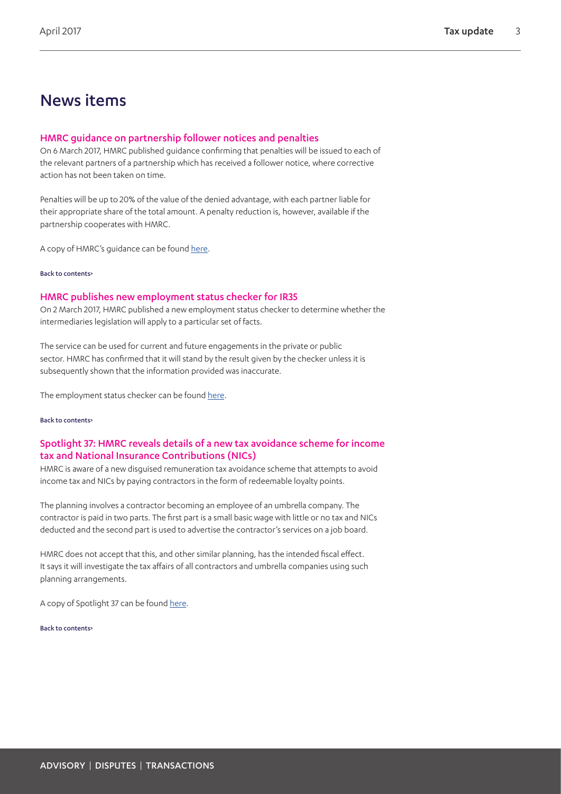### News items

#### <span id="page-2-0"></span>HMRC guidance on partnership follower notices and penalties

On 6 March 2017, HMRC published guidance confirming that penalties will be issued to each of the relevant partners of a partnership which has received a follower notice, where corrective action has not been taken on time.

Penalties will be up to 20% of the value of the denied advantage, with each partner liable for their appropriate share of the total amount. A penalty reduction is, however, available if the partnership cooperates with HMRC.

A copy of HMRC's guidance can be found [here](https://www.gov.uk/government/publications/compliance-checks-tax-avoidance-schemes-penalties-for-partnership-follower-notices-ccfs30b/tax-avoidance-schemes-penalties-for-partnership-follower-notices).

#### [Back to contents>](#page-0-0)

#### <span id="page-2-1"></span>HMRC publishes new employment status checker for IR35

On 2 March 2017, HMRC published a new employment status checker to determine whether the intermediaries legislation will apply to a particular set of facts.

The service can be used for current and future engagements in the private or public sector. HMRC has confirmed that it will stand by the result given by the checker unless it is subsequently shown that the information provided was inaccurate.

The employment status checker can be found [here](https://www.gov.uk/guidance/check-employment-status-for-tax).

#### [Back to contents>](#page-0-0)

#### <span id="page-2-2"></span>Spotlight 37: HMRC reveals details of a new tax avoidance scheme for income tax and National Insurance Contributions (NICs)

HMRC is aware of a new disguised remuneration tax avoidance scheme that attempts to avoid income tax and NICs by paying contractors in the form of redeemable loyalty points.

The planning involves a contractor becoming an employee of an umbrella company. The contractor is paid in two parts. The first part is a small basic wage with little or no tax and NICs deducted and the second part is used to advertise the contractor's services on a job board.

HMRC does not accept that this, and other similar planning, has the intended fiscal effect. It says it will investigate the tax affairs of all contractors and umbrella companies using such planning arrangements.

A copy of Spotlight 37 can be found [here.](https://www.gov.uk/guidance/disguised-remuneration-job-board-avoidance-scheme-spotlight-37)

[Back to contents>](#page-0-0)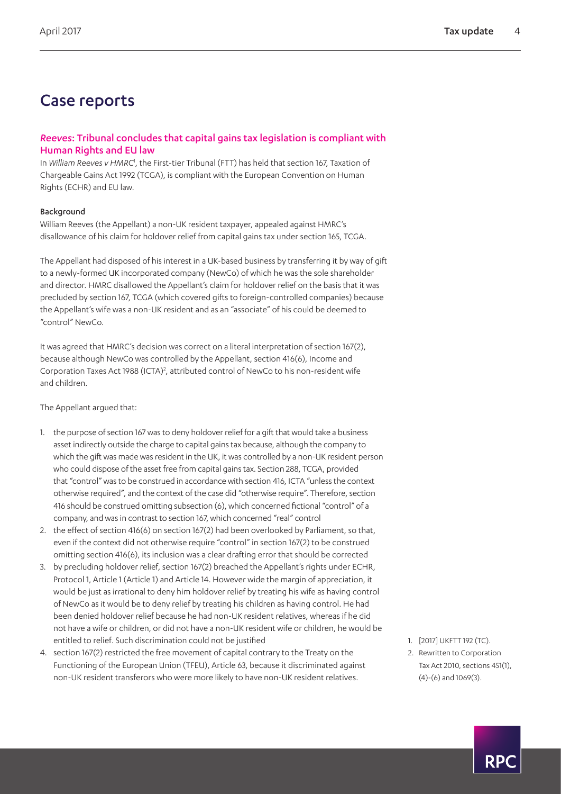### Case reports

#### <span id="page-3-0"></span>*Reeves*: Tribunal concludes that capital gains tax legislation is compliant with Human Rights and EU law

In William Reeves v HMRC<sup>[1](#page-3-1)</sup>, the First-tier Tribunal (FTT) has held that section 167, Taxation of Chargeable Gains Act 1992 (TCGA), is compliant with the European Convention on Human Rights (ECHR) and EU law.

#### Background

William Reeves (the Appellant) a non-UK resident taxpayer, appealed against HMRC's disallowance of his claim for holdover relief from capital gains tax under section 165, TCGA.

The Appellant had disposed of his interest in a UK-based business by transferring it by way of gift to a newly-formed UK incorporated company (NewCo) of which he was the sole shareholder and director. HMRC disallowed the Appellant's claim for holdover relief on the basis that it was precluded by section 167, TCGA (which covered gifts to foreign-controlled companies) because the Appellant's wife was a non-UK resident and as an "associate" of his could be deemed to "control" NewCo.

It was agreed that HMRC's decision was correct on a literal interpretation of section 167(2), because although NewCo was controlled by the Appellant, section 416(6), Income and Corporation Taxes Act 1988 (ICTA)<sup>[2](#page-3-2)</sup>, attributed control of NewCo to his non-resident wife and children.

The Appellant argued that:

- 1. the purpose of section 167 was to deny holdover relief for a gift that would take a business asset indirectly outside the charge to capital gains tax because, although the company to which the gift was made was resident in the UK, it was controlled by a non-UK resident person who could dispose of the asset free from capital gains tax. Section 288, TCGA, provided that "control" was to be construed in accordance with section 416, ICTA "unless the context otherwise required", and the context of the case did "otherwise require". Therefore, section 416 should be construed omitting subsection (6), which concerned fictional "control" of a company, and was in contrast to section 167, which concerned "real" control
- 2. the effect of section 416(6) on section 167(2) had been overlooked by Parliament, so that, even if the context did not otherwise require "control" in section 167(2) to be construed omitting section 416(6), its inclusion was a clear drafting error that should be corrected
- 3. by precluding holdover relief, section 167(2) breached the Appellant's rights under ECHR, Protocol 1, Article 1 (Article 1) and Article 14. However wide the margin of appreciation, it would be just as irrational to deny him holdover relief by treating his wife as having control of NewCo as it would be to deny relief by treating his children as having control. He had been denied holdover relief because he had non-UK resident relatives, whereas if he did not have a wife or children, or did not have a non-UK resident wife or children, he would be entitled to relief. Such discrimination could not be justified
- 4. section 167(2) restricted the free movement of capital contrary to the Treaty on the Functioning of the European Union (TFEU), Article 63, because it discriminated against non-UK resident transferors who were more likely to have non-UK resident relatives.
- <span id="page-3-1"></span>1. [2017] UKFTT 192 (TC).
- <span id="page-3-2"></span>2. Rewritten to Corporation Tax Act 2010, sections 451(1), (4)-(6) and 1069(3).

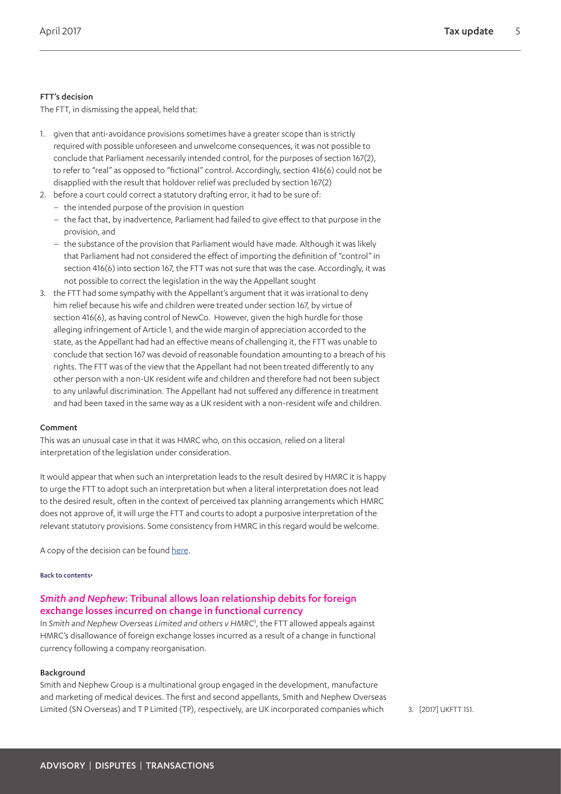#### FTT's decision

The FTT, in dismissing the appeal, held that:

- 1. given that anti-avoidance provisions sometimes have a greater scope than is strictly required with possible unforeseen and unwelcome consequences, it was not possible to conclude that Parliament necessarily intended control, for the purposes of section 167(2), to refer to "real" as opposed to "fictional" control. Accordingly, section 416(6) could not be disapplied with the result that holdover relief was precluded by section 167(2)
- 2. before a court could correct a statutory drafting error, it had to be sure of:
	- the intended purpose of the provision in question
	- the fact that, by inadvertence, Parliament had failed to give effect to that purpose in the provision, and
	- the substance of the provision that Parliament would have made. Although it was likely that Parliament had not considered the effect of importing the definition of "control" in section 416(6) into section 167, the FTT was not sure that was the case. Accordingly, it was not possible to correct the legislation in the way the Appellant sought
- 3. the FTT had some sympathy with the Appellant's argument that it was irrational to deny him relief because his wife and children were treated under section 167, by virtue of section 416(6), as having control of NewCo. However, given the high hurdle for those alleging infringement of Article 1, and the wide margin of appreciation accorded to the state, as the Appellant had had an effective means of challenging it, the FTT was unable to conclude that section 167 was devoid of reasonable foundation amounting to a breach of his rights. The FTT was of the view that the Appellant had not been treated differently to any other person with a non-UK resident wife and children and therefore had not been subject to any unlawful discrimination. The Appellant had not suffered any difference in treatment and had been taxed in the same way as a UK resident with a non-resident wife and children.

#### Comment

This was an unusual case in that it was HMRC who, on this occasion, relied on a literal interpretation of the legislation under consideration.

It would appear that when such an interpretation leads to the result desired by HMRC it is happy to urge the FTT to adopt such an interpretation but when a literal interpretation does not lead to the desired result, often in the context of perceived tax planning arrangements which HMRC does not approve of, it will urge the FTT and courts to adopt a purposive interpretation of the relevant statutory provisions. Some consistency from HMRC in this regard would be welcome.

A copy of the decision can be found [here.](http://www.bailii.org/uk/cases/UKFTT/TC/2017/TC05680.html)

#### [Back to contents>](#page-0-0)

#### <span id="page-4-0"></span>*Smith and Nephew*: Tribunal allows loan relationship debits for foreign exchange losses incurred on change in functional currency

In *Smith and Nephew Overseas Limited and others v HMRC*[3](#page-4-1) , the FTT allowed appeals against HMRC's disallowance of foreign exchange losses incurred as a result of a change in functional currency following a company reorganisation.

#### Background

Smith and Nephew Group is a multinational group engaged in the development, manufacture and marketing of medical devices. The first and second appellants, Smith and Nephew Overseas Limited (SN Overseas) and TP Limited (TP), respectively, are UK incorporated companies which 3. [2017] UKFTT 151.

<span id="page-4-1"></span>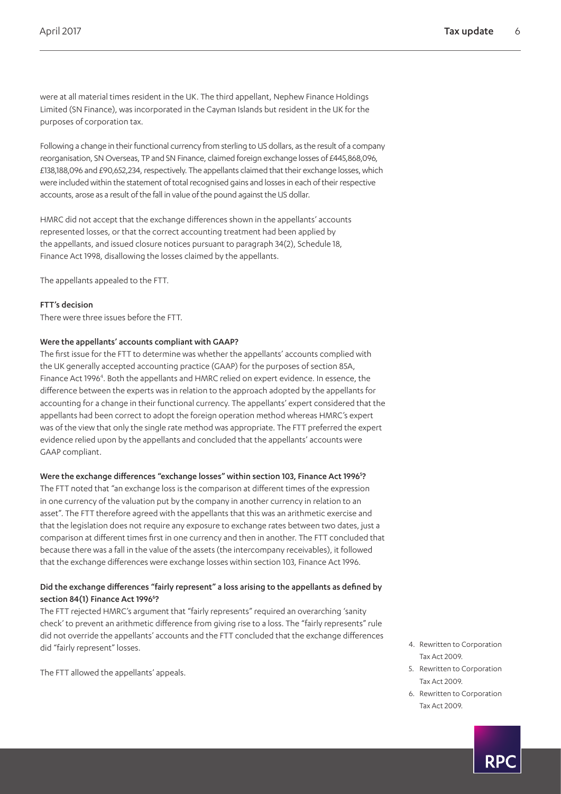were at all material times resident in the UK. The third appellant, Nephew Finance Holdings Limited (SN Finance), was incorporated in the Cayman Islands but resident in the UK for the purposes of corporation tax.

Following a change in their functional currency from sterling to US dollars, as the result of a company reorganisation, SN Overseas, TP and SN Finance, claimed foreign exchange losses of £445,868,096, £138,188,096 and £90,652,234, respectively. The appellants claimed that their exchange losses, which were included within the statement of total recognised gains and losses in each of their respective accounts, arose as a result of the fall in value of the pound against the US dollar.

HMRC did not accept that the exchange differences shown in the appellants' accounts represented losses, or that the correct accounting treatment had been applied by the appellants, and issued closure notices pursuant to paragraph 34(2), Schedule 18, Finance Act 1998, disallowing the losses claimed by the appellants.

The appellants appealed to the FTT.

#### FTT's decision

There were three issues before the FTT.

#### Were the appellants' accounts compliant with GAAP?

The first issue for the FTT to determine was whether the appellants' accounts complied with the UK generally accepted accounting practice (GAAP) for the purposes of section 85A, Finance Act 1996<sup>[4](#page-5-0)</sup>. Both the appellants and HMRC relied on expert evidence. In essence, the difference between the experts was in relation to the approach adopted by the appellants for accounting for a change in their functional currency. The appellants' expert considered that the appellants had been correct to adopt the foreign operation method whereas HMRC's expert was of the view that only the single rate method was appropriate. The FTT preferred the expert evidence relied upon by the appellants and concluded that the appellants' accounts were GAAP compliant.

#### Were the exchange differences "exchange losses" within section 103, Finance Act 1996<sup>5</sup>?

The FTT noted that "an exchange loss is the comparison at different times of the expression in one currency of the valuation put by the company in another currency in relation to an asset". The FTT therefore agreed with the appellants that this was an arithmetic exercise and that the legislation does not require any exposure to exchange rates between two dates, just a comparison at different times first in one currency and then in another. The FTT concluded that because there was a fall in the value of the assets (the intercompany receivables), it followed that the exchange differences were exchange losses within section 103, Finance Act 1996.

#### Did the exchange differences "fairly represent" a loss arising to the appellants as defined by section 84(1) Finance Act 199[6](#page-5-2)<sup>6</sup>?

The FTT rejected HMRC's argument that "fairly represents" required an overarching 'sanity check' to prevent an arithmetic difference from giving rise to a loss. The "fairly represents" rule did not override the appellants' accounts and the FTT concluded that the exchange differences did "fairly represent" losses.

The FTT allowed the appellants' appeals.

- <span id="page-5-0"></span>4. Rewritten to Corporation Tax Act 2009.
- <span id="page-5-1"></span>5. Rewritten to Corporation Tax Act 2009.
- <span id="page-5-2"></span>6. Rewritten to Corporation Tax Act 2009.

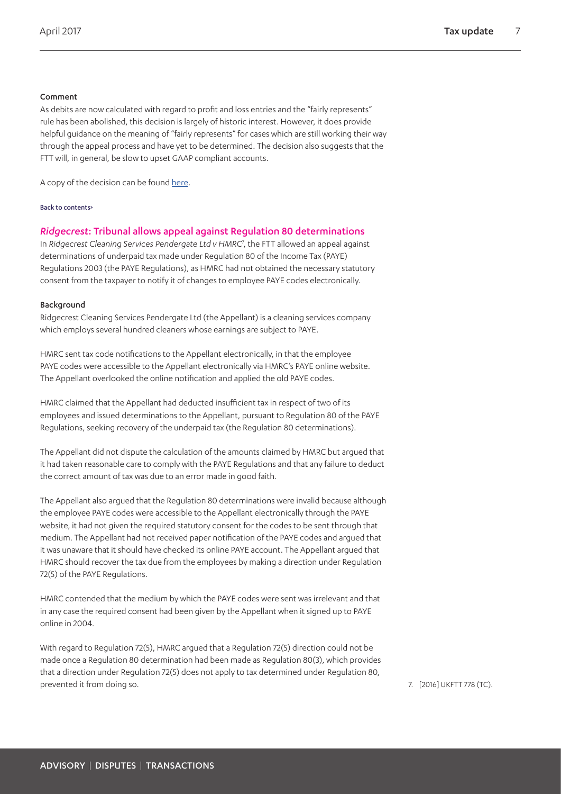#### Comment

As debits are now calculated with regard to profit and loss entries and the "fairly represents" rule has been abolished, this decision is largely of historic interest. However, it does provide helpful guidance on the meaning of "fairly represents" for cases which are still working their way through the appeal process and have yet to be determined. The decision also suggests that the FTT will, in general, be slow to upset GAAP compliant accounts.

A copy of the decision can be found [here.](https://www.pumptax.com/wp-content/uploads/2017/02/Decision-TC2014.02775-Smith-Nephew-Overseas-Ltd-and-Others-08.02.1....pdf)

#### [Back to contents>](#page-0-0)

#### <span id="page-6-0"></span>*Ridgecrest*: Tribunal allows appeal against Regulation 80 determinations

In *Ridgecrest Cleaning Services Pendergate Ltd v HMRC*[7](#page-6-1) , the FTT allowed an appeal against determinations of underpaid tax made under Regulation 80 of the Income Tax (PAYE) Regulations 2003 (the PAYE Regulations), as HMRC had not obtained the necessary statutory consent from the taxpayer to notify it of changes to employee PAYE codes electronically.

#### Background

Ridgecrest Cleaning Services Pendergate Ltd (the Appellant) is a cleaning services company which employs several hundred cleaners whose earnings are subject to PAYE.

HMRC sent tax code notifications to the Appellant electronically, in that the employee PAYE codes were accessible to the Appellant electronically via HMRC's PAYE online website. The Appellant overlooked the online notification and applied the old PAYE codes.

HMRC claimed that the Appellant had deducted insufficient tax in respect of two of its employees and issued determinations to the Appellant, pursuant to Regulation 80 of the PAYE Regulations, seeking recovery of the underpaid tax (the Regulation 80 determinations).

The Appellant did not dispute the calculation of the amounts claimed by HMRC but argued that it had taken reasonable care to comply with the PAYE Regulations and that any failure to deduct the correct amount of tax was due to an error made in good faith.

The Appellant also argued that the Regulation 80 determinations were invalid because although the employee PAYE codes were accessible to the Appellant electronically through the PAYE website, it had not given the required statutory consent for the codes to be sent through that medium. The Appellant had not received paper notification of the PAYE codes and argued that it was unaware that it should have checked its online PAYE account. The Appellant argued that HMRC should recover the tax due from the employees by making a direction under Regulation 72(5) of the PAYE Regulations.

HMRC contended that the medium by which the PAYE codes were sent was irrelevant and that in any case the required consent had been given by the Appellant when it signed up to PAYE online in 2004.

With regard to Regulation 72(5), HMRC argued that a Regulation 72(5) direction could not be made once a Regulation 80 determination had been made as Regulation 80(3), which provides that a direction under Regulation 72(5) does not apply to tax determined under Regulation 80, prevented it from doing so. The same state of the state of the state of the state of the state of the state of the state of the state of the state of the state of the state of the state of the state of the state of the sta

<span id="page-6-1"></span>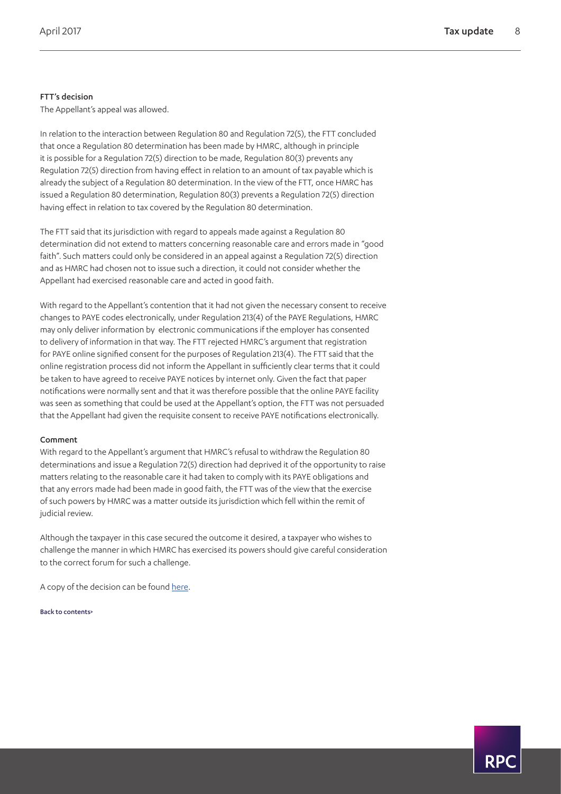#### FTT's decision

The Appellant's appeal was allowed.

In relation to the interaction between Regulation 80 and Regulation 72(5), the FTT concluded that once a Regulation 80 determination has been made by HMRC, although in principle it is possible for a Regulation 72(5) direction to be made, Regulation 80(3) prevents any Regulation 72(5) direction from having effect in relation to an amount of tax payable which is already the subject of a Regulation 80 determination. In the view of the FTT, once HMRC has issued a Regulation 80 determination, Regulation 80(3) prevents a Regulation 72(5) direction having effect in relation to tax covered by the Regulation 80 determination.

The FTT said that its jurisdiction with regard to appeals made against a Regulation 80 determination did not extend to matters concerning reasonable care and errors made in "good faith". Such matters could only be considered in an appeal against a Regulation 72(5) direction and as HMRC had chosen not to issue such a direction, it could not consider whether the Appellant had exercised reasonable care and acted in good faith.

With regard to the Appellant's contention that it had not given the necessary consent to receive changes to PAYE codes electronically, under Regulation 213(4) of the PAYE Regulations, HMRC may only deliver information by electronic communications if the employer has consented to delivery of information in that way. The FTT rejected HMRC's argument that registration for PAYE online signified consent for the purposes of Regulation 213(4). The FTT said that the online registration process did not inform the Appellant in sufficiently clear terms that it could be taken to have agreed to receive PAYE notices by internet only. Given the fact that paper notifications were normally sent and that it was therefore possible that the online PAYE facility was seen as something that could be used at the Appellant's option, the FTT was not persuaded that the Appellant had given the requisite consent to receive PAYE notifications electronically.

#### Comment

With regard to the Appellant's argument that HMRC's refusal to withdraw the Regulation 80 determinations and issue a Regulation 72(5) direction had deprived it of the opportunity to raise matters relating to the reasonable care it had taken to comply with its PAYE obligations and that any errors made had been made in good faith, the FTT was of the view that the exercise of such powers by HMRC was a matter outside its jurisdiction which fell within the remit of judicial review.

Although the taxpayer in this case secured the outcome it desired, a taxpayer who wishes to challenge the manner in which HMRC has exercised its powers should give careful consideration to the correct forum for such a challenge.

A copy of the decision can be found [here.](http://financeandtax.decisions.tribunals.gov.uk/judgmentfiles/j9385/TC05505.pdf)

[Back to contents>](#page-0-0)